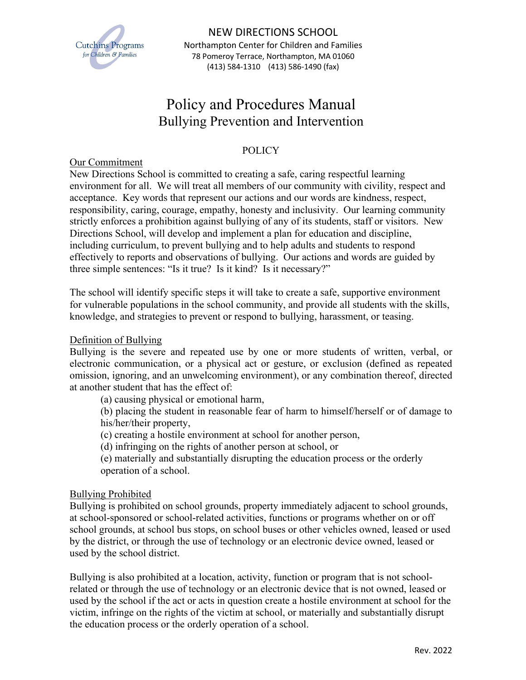

# Policy and Procedures Manual Bullying Prevention and Intervention

# POLICY

## Our Commitment

New Directions School is committed to creating a safe, caring respectful learning environment for all. We will treat all members of our community with civility, respect and acceptance. Key words that represent our actions and our words are kindness, respect, responsibility, caring, courage, empathy, honesty and inclusivity. Our learning community strictly enforces a prohibition against bullying of any of its students, staff or visitors. New Directions School, will develop and implement a plan for education and discipline, including curriculum, to prevent bullying and to help adults and students to respond effectively to reports and observations of bullying. Our actions and words are guided by three simple sentences: "Is it true? Is it kind? Is it necessary?"

The school will identify specific steps it will take to create a safe, supportive environment for vulnerable populations in the school community, and provide all students with the skills, knowledge, and strategies to prevent or respond to bullying, harassment, or teasing.

## Definition of Bullying

Bullying is the severe and repeated use by one or more students of written, verbal, or electronic communication, or a physical act or gesture, or exclusion (defined as repeated omission, ignoring, and an unwelcoming environment), or any combination thereof, directed at another student that has the effect of:

(a) causing physical or emotional harm,

(b) placing the student in reasonable fear of harm to himself/herself or of damage to his/her/their property,

(c) creating a hostile environment at school for another person,

(d) infringing on the rights of another person at school, or

(e) materially and substantially disrupting the education process or the orderly operation of a school.

## Bullying Prohibited

Bullying is prohibited on school grounds, property immediately adjacent to school grounds, at school-sponsored or school-related activities, functions or programs whether on or off school grounds, at school bus stops, on school buses or other vehicles owned, leased or used by the district, or through the use of technology or an electronic device owned, leased or used by the school district.

Bullying is also prohibited at a location, activity, function or program that is not schoolrelated or through the use of technology or an electronic device that is not owned, leased or used by the school if the act or acts in question create a hostile environment at school for the victim, infringe on the rights of the victim at school, or materially and substantially disrupt the education process or the orderly operation of a school.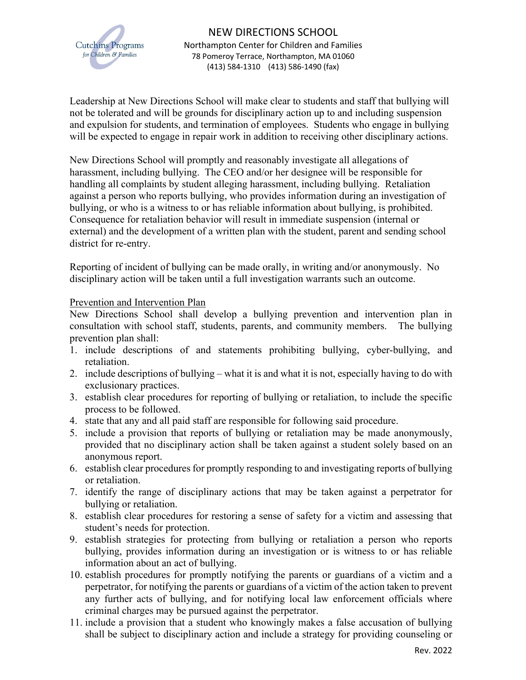

Leadership at New Directions School will make clear to students and staff that bullying will not be tolerated and will be grounds for disciplinary action up to and including suspension and expulsion for students, and termination of employees. Students who engage in bullying will be expected to engage in repair work in addition to receiving other disciplinary actions.

New Directions School will promptly and reasonably investigate all allegations of harassment, including bullying. The CEO and/or her designee will be responsible for handling all complaints by student alleging harassment, including bullying. Retaliation against a person who reports bullying, who provides information during an investigation of bullying, or who is a witness to or has reliable information about bullying, is prohibited. Consequence for retaliation behavior will result in immediate suspension (internal or external) and the development of a written plan with the student, parent and sending school district for re-entry.

Reporting of incident of bullying can be made orally, in writing and/or anonymously. No disciplinary action will be taken until a full investigation warrants such an outcome.

## Prevention and Intervention Plan

New Directions School shall develop a bullying prevention and intervention plan in consultation with school staff, students, parents, and community members. The bullying prevention plan shall:

- 1. include descriptions of and statements prohibiting bullying, cyber-bullying, and retaliation.
- 2. include descriptions of bullying what it is and what it is not, especially having to do with exclusionary practices.
- 3. establish clear procedures for reporting of bullying or retaliation, to include the specific process to be followed.
- 4. state that any and all paid staff are responsible for following said procedure.
- 5. include a provision that reports of bullying or retaliation may be made anonymously, provided that no disciplinary action shall be taken against a student solely based on an anonymous report.
- 6. establish clear procedures for promptly responding to and investigating reports of bullying or retaliation.
- 7. identify the range of disciplinary actions that may be taken against a perpetrator for bullying or retaliation.
- 8. establish clear procedures for restoring a sense of safety for a victim and assessing that student's needs for protection.
- 9. establish strategies for protecting from bullying or retaliation a person who reports bullying, provides information during an investigation or is witness to or has reliable information about an act of bullying.
- 10. establish procedures for promptly notifying the parents or guardians of a victim and a perpetrator, for notifying the parents or guardians of a victim of the action taken to prevent any further acts of bullying, and for notifying local law enforcement officials where criminal charges may be pursued against the perpetrator.
- 11. include a provision that a student who knowingly makes a false accusation of bullying shall be subject to disciplinary action and include a strategy for providing counseling or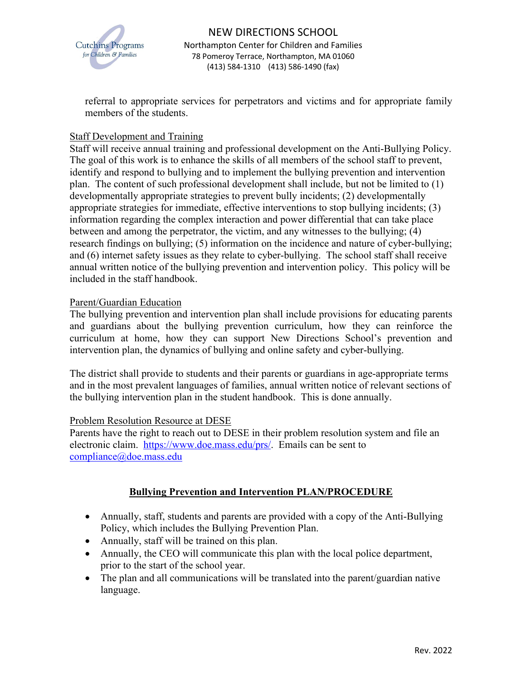

referral to appropriate services for perpetrators and victims and for appropriate family members of the students.

# Staff Development and Training

Staff will receive annual training and professional development on the Anti-Bullying Policy. The goal of this work is to enhance the skills of all members of the school staff to prevent, identify and respond to bullying and to implement the bullying prevention and intervention plan. The content of such professional development shall include, but not be limited to (1) developmentally appropriate strategies to prevent bully incidents; (2) developmentally appropriate strategies for immediate, effective interventions to stop bullying incidents; (3) information regarding the complex interaction and power differential that can take place between and among the perpetrator, the victim, and any witnesses to the bullying; (4) research findings on bullying; (5) information on the incidence and nature of cyber-bullying; and (6) internet safety issues as they relate to cyber-bullying. The school staff shall receive annual written notice of the bullying prevention and intervention policy. This policy will be included in the staff handbook.

## Parent/Guardian Education

The bullying prevention and intervention plan shall include provisions for educating parents and guardians about the bullying prevention curriculum, how they can reinforce the curriculum at home, how they can support New Directions School's prevention and intervention plan, the dynamics of bullying and online safety and cyber-bullying.

The district shall provide to students and their parents or guardians in age-appropriate terms and in the most prevalent languages of families, annual written notice of relevant sections of the bullying intervention plan in the student handbook. This is done annually.

## Problem Resolution Resource at DESE

Parents have the right to reach out to DESE in their problem resolution system and file an electronic claim. https://www.doe.mass.edu/prs/. Emails can be sent to compliance@doe.mass.edu

# **Bullying Prevention and Intervention PLAN/PROCEDURE**

- Annually, staff, students and parents are provided with a copy of the Anti-Bullying Policy, which includes the Bullying Prevention Plan.
- Annually, staff will be trained on this plan.
- Annually, the CEO will communicate this plan with the local police department, prior to the start of the school year.
- The plan and all communications will be translated into the parent/guardian native language.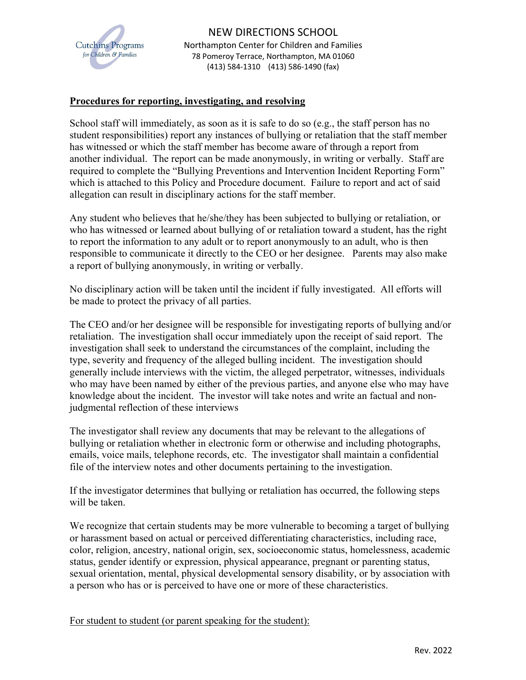

## **Procedures for reporting, investigating, and resolving**

School staff will immediately, as soon as it is safe to do so (e.g., the staff person has no student responsibilities) report any instances of bullying or retaliation that the staff member has witnessed or which the staff member has become aware of through a report from another individual. The report can be made anonymously, in writing or verbally. Staff are required to complete the "Bullying Preventions and Intervention Incident Reporting Form" which is attached to this Policy and Procedure document. Failure to report and act of said allegation can result in disciplinary actions for the staff member.

Any student who believes that he/she/they has been subjected to bullying or retaliation, or who has witnessed or learned about bullying of or retaliation toward a student, has the right to report the information to any adult or to report anonymously to an adult, who is then responsible to communicate it directly to the CEO or her designee. Parents may also make a report of bullying anonymously, in writing or verbally.

No disciplinary action will be taken until the incident if fully investigated. All efforts will be made to protect the privacy of all parties.

The CEO and/or her designee will be responsible for investigating reports of bullying and/or retaliation. The investigation shall occur immediately upon the receipt of said report. The investigation shall seek to understand the circumstances of the complaint, including the type, severity and frequency of the alleged bulling incident. The investigation should generally include interviews with the victim, the alleged perpetrator, witnesses, individuals who may have been named by either of the previous parties, and anyone else who may have knowledge about the incident. The investor will take notes and write an factual and nonjudgmental reflection of these interviews

The investigator shall review any documents that may be relevant to the allegations of bullying or retaliation whether in electronic form or otherwise and including photographs, emails, voice mails, telephone records, etc. The investigator shall maintain a confidential file of the interview notes and other documents pertaining to the investigation.

If the investigator determines that bullying or retaliation has occurred, the following steps will be taken.

We recognize that certain students may be more vulnerable to becoming a target of bullying or harassment based on actual or perceived differentiating characteristics, including race, color, religion, ancestry, national origin, sex, socioeconomic status, homelessness, academic status, gender identify or expression, physical appearance, pregnant or parenting status, sexual orientation, mental, physical developmental sensory disability, or by association with a person who has or is perceived to have one or more of these characteristics.

For student to student (or parent speaking for the student):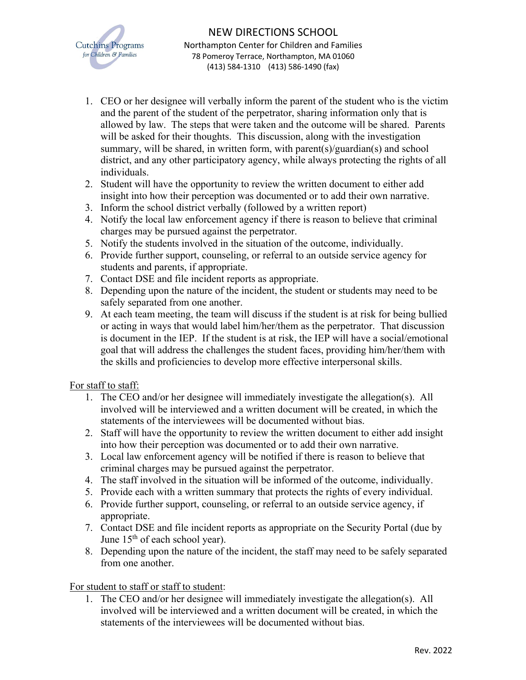

- 1. CEO or her designee will verbally inform the parent of the student who is the victim and the parent of the student of the perpetrator, sharing information only that is allowed by law. The steps that were taken and the outcome will be shared. Parents will be asked for their thoughts. This discussion, along with the investigation summary, will be shared, in written form, with parent(s)/guardian(s) and school district, and any other participatory agency, while always protecting the rights of all individuals.
- 2. Student will have the opportunity to review the written document to either add insight into how their perception was documented or to add their own narrative.
- 3. Inform the school district verbally (followed by a written report)
- 4. Notify the local law enforcement agency if there is reason to believe that criminal charges may be pursued against the perpetrator.
- 5. Notify the students involved in the situation of the outcome, individually.
- 6. Provide further support, counseling, or referral to an outside service agency for students and parents, if appropriate.
- 7. Contact DSE and file incident reports as appropriate.
- 8. Depending upon the nature of the incident, the student or students may need to be safely separated from one another.
- 9. At each team meeting, the team will discuss if the student is at risk for being bullied or acting in ways that would label him/her/them as the perpetrator. That discussion is document in the IEP. If the student is at risk, the IEP will have a social/emotional goal that will address the challenges the student faces, providing him/her/them with the skills and proficiencies to develop more effective interpersonal skills.

## For staff to staff:

- 1. The CEO and/or her designee will immediately investigate the allegation(s). All involved will be interviewed and a written document will be created, in which the statements of the interviewees will be documented without bias.
- 2. Staff will have the opportunity to review the written document to either add insight into how their perception was documented or to add their own narrative.
- 3. Local law enforcement agency will be notified if there is reason to believe that criminal charges may be pursued against the perpetrator.
- 4. The staff involved in the situation will be informed of the outcome, individually.
- 5. Provide each with a written summary that protects the rights of every individual.
- 6. Provide further support, counseling, or referral to an outside service agency, if appropriate.
- 7. Contact DSE and file incident reports as appropriate on the Security Portal (due by June 15<sup>th</sup> of each school year).
- 8. Depending upon the nature of the incident, the staff may need to be safely separated from one another.

## For student to staff or staff to student:

1. The CEO and/or her designee will immediately investigate the allegation(s). All involved will be interviewed and a written document will be created, in which the statements of the interviewees will be documented without bias.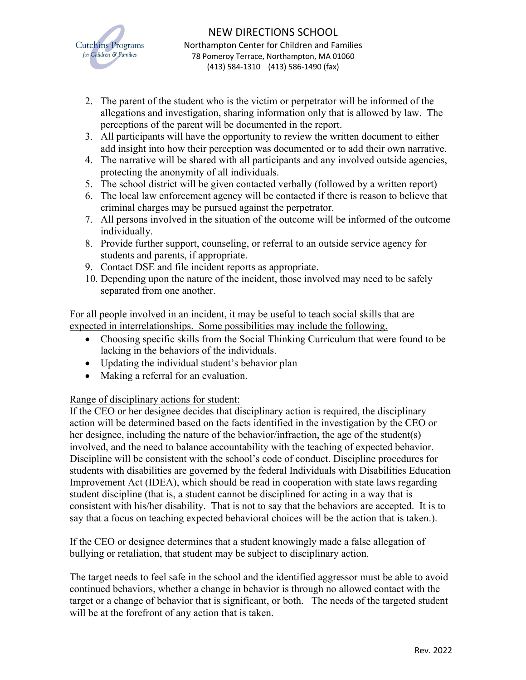

- 2. The parent of the student who is the victim or perpetrator will be informed of the allegations and investigation, sharing information only that is allowed by law. The perceptions of the parent will be documented in the report.
- 3. All participants will have the opportunity to review the written document to either add insight into how their perception was documented or to add their own narrative.
- 4. The narrative will be shared with all participants and any involved outside agencies, protecting the anonymity of all individuals.
- 5. The school district will be given contacted verbally (followed by a written report)
- 6. The local law enforcement agency will be contacted if there is reason to believe that criminal charges may be pursued against the perpetrator.
- 7. All persons involved in the situation of the outcome will be informed of the outcome individually.
- 8. Provide further support, counseling, or referral to an outside service agency for students and parents, if appropriate.
- 9. Contact DSE and file incident reports as appropriate.
- 10. Depending upon the nature of the incident, those involved may need to be safely separated from one another.

For all people involved in an incident, it may be useful to teach social skills that are expected in interrelationships. Some possibilities may include the following.

- Choosing specific skills from the Social Thinking Curriculum that were found to be lacking in the behaviors of the individuals.
- Updating the individual student's behavior plan
- Making a referral for an evaluation.

Range of disciplinary actions for student:

If the CEO or her designee decides that disciplinary action is required, the disciplinary action will be determined based on the facts identified in the investigation by the CEO or her designee, including the nature of the behavior/infraction, the age of the student(s) involved, and the need to balance accountability with the teaching of expected behavior. Discipline will be consistent with the school's code of conduct. Discipline procedures for students with disabilities are governed by the federal Individuals with Disabilities Education Improvement Act (IDEA), which should be read in cooperation with state laws regarding student discipline (that is, a student cannot be disciplined for acting in a way that is consistent with his/her disability. That is not to say that the behaviors are accepted. It is to say that a focus on teaching expected behavioral choices will be the action that is taken.).

If the CEO or designee determines that a student knowingly made a false allegation of bullying or retaliation, that student may be subject to disciplinary action.

The target needs to feel safe in the school and the identified aggressor must be able to avoid continued behaviors, whether a change in behavior is through no allowed contact with the target or a change of behavior that is significant, or both. The needs of the targeted student will be at the forefront of any action that is taken.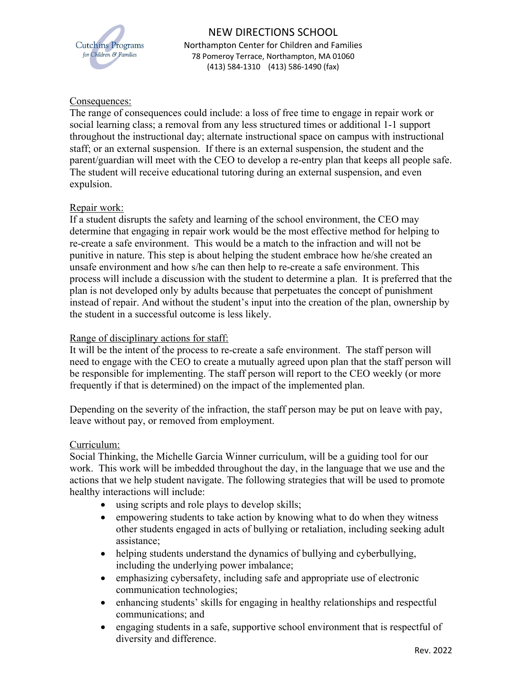

## Consequences:

The range of consequences could include: a loss of free time to engage in repair work or social learning class; a removal from any less structured times or additional 1-1 support throughout the instructional day; alternate instructional space on campus with instructional staff; or an external suspension. If there is an external suspension, the student and the parent/guardian will meet with the CEO to develop a re-entry plan that keeps all people safe. The student will receive educational tutoring during an external suspension, and even expulsion.

## Repair work:

If a student disrupts the safety and learning of the school environment, the CEO may determine that engaging in repair work would be the most effective method for helping to re-create a safe environment. This would be a match to the infraction and will not be punitive in nature. This step is about helping the student embrace how he/she created an unsafe environment and how s/he can then help to re-create a safe environment. This process will include a discussion with the student to determine a plan. It is preferred that the plan is not developed only by adults because that perpetuates the concept of punishment instead of repair. And without the student's input into the creation of the plan, ownership by the student in a successful outcome is less likely.

## Range of disciplinary actions for staff:

It will be the intent of the process to re-create a safe environment. The staff person will need to engage with the CEO to create a mutually agreed upon plan that the staff person will be responsible for implementing. The staff person will report to the CEO weekly (or more frequently if that is determined) on the impact of the implemented plan.

Depending on the severity of the infraction, the staff person may be put on leave with pay, leave without pay, or removed from employment.

## Curriculum:

Social Thinking, the Michelle Garcia Winner curriculum, will be a guiding tool for our work. This work will be imbedded throughout the day, in the language that we use and the actions that we help student navigate. The following strategies that will be used to promote healthy interactions will include:

- using scripts and role plays to develop skills;
- empowering students to take action by knowing what to do when they witness other students engaged in acts of bullying or retaliation, including seeking adult assistance;
- helping students understand the dynamics of bullying and cyberbullying, including the underlying power imbalance;
- emphasizing cybersafety, including safe and appropriate use of electronic communication technologies;
- enhancing students' skills for engaging in healthy relationships and respectful communications; and
- engaging students in a safe, supportive school environment that is respectful of diversity and difference.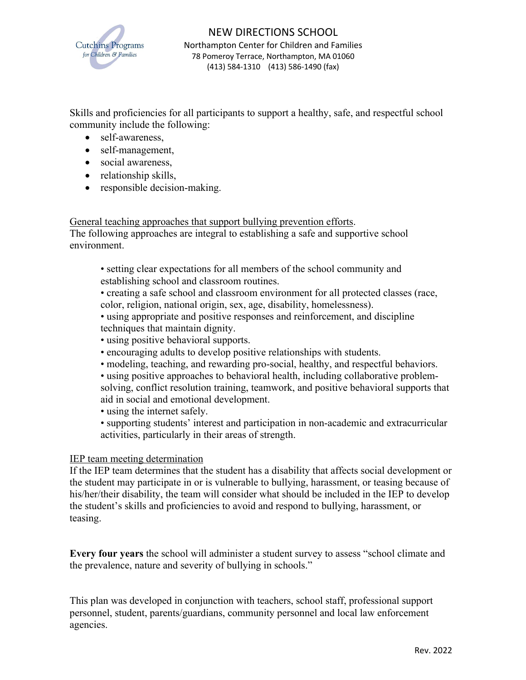

Skills and proficiencies for all participants to support a healthy, safe, and respectful school community include the following:

- self-awareness,
- self-management,
- social awareness,
- relationship skills,
- responsible decision-making.

General teaching approaches that support bullying prevention efforts.

The following approaches are integral to establishing a safe and supportive school environment.

- setting clear expectations for all members of the school community and establishing school and classroom routines.
- creating a safe school and classroom environment for all protected classes (race, color, religion, national origin, sex, age, disability, homelessness).
- using appropriate and positive responses and reinforcement, and discipline techniques that maintain dignity.
- using positive behavioral supports.
- encouraging adults to develop positive relationships with students.
- modeling, teaching, and rewarding pro-social, healthy, and respectful behaviors.
- using positive approaches to behavioral health, including collaborative problemsolving, conflict resolution training, teamwork, and positive behavioral supports that aid in social and emotional development.
- using the internet safely.
- supporting students' interest and participation in non-academic and extracurricular activities, particularly in their areas of strength.

# IEP team meeting determination

If the IEP team determines that the student has a disability that affects social development or the student may participate in or is vulnerable to bullying, harassment, or teasing because of his/her/their disability, the team will consider what should be included in the IEP to develop the student's skills and proficiencies to avoid and respond to bullying, harassment, or teasing.

**Every four years** the school will administer a student survey to assess "school climate and the prevalence, nature and severity of bullying in schools."

This plan was developed in conjunction with teachers, school staff, professional support personnel, student, parents/guardians, community personnel and local law enforcement agencies.